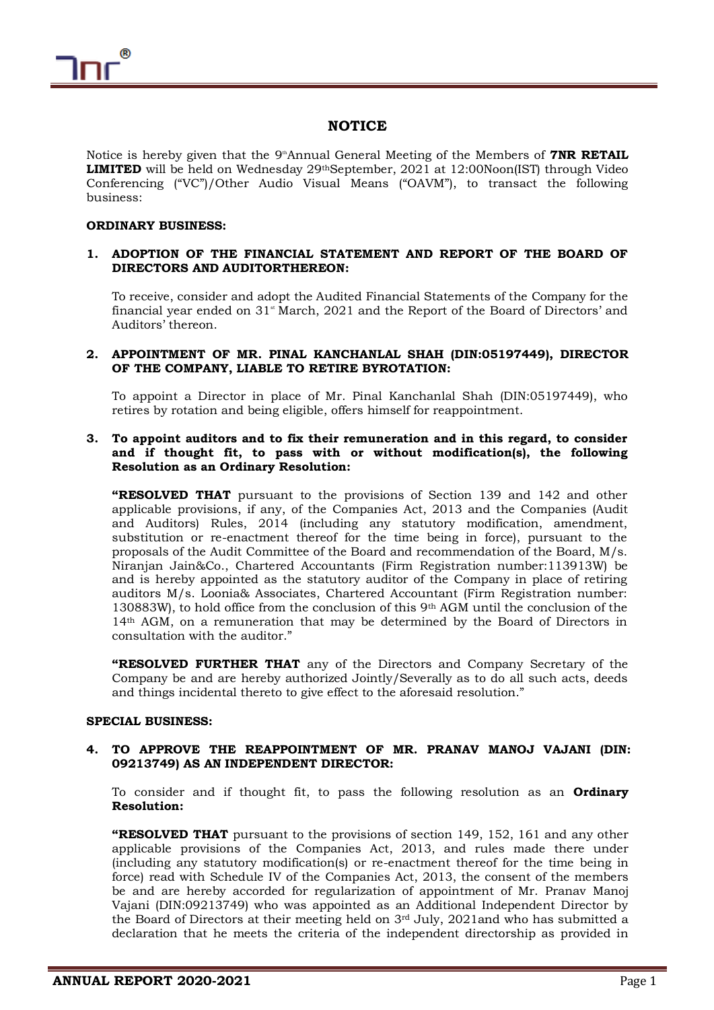

# **NOTICE**

Notice is hereby given that the 9<sup>th</sup>Annual General Meeting of the Members of **7NR RETAIL LIMITED** will be held on Wednesday 29thSeptember, 2021 at 12:00Noon(IST) through Video Conferencing ("VC")/Other Audio Visual Means ("OAVM"), to transact the following business:

## **ORDINARY BUSINESS:**

## **1. ADOPTION OF THE FINANCIAL STATEMENT AND REPORT OF THE BOARD OF DIRECTORS AND AUDITORTHEREON:**

To receive, consider and adopt the Audited Financial Statements of the Company for the financial year ended on  $31$ <sup>st</sup> March, 2021 and the Report of the Board of Directors' and Auditors' thereon.

## **2. APPOINTMENT OF MR. PINAL KANCHANLAL SHAH (DIN:05197449), DIRECTOR OF THE COMPANY, LIABLE TO RETIRE BYROTATION:**

To appoint a Director in place of Mr. Pinal Kanchanlal Shah (DIN:05197449), who retires by rotation and being eligible, offers himself for reappointment.

## **3. To appoint auditors and to fix their remuneration and in this regard, to consider and if thought fit, to pass with or without modification(s), the following Resolution as an Ordinary Resolution:**

**"RESOLVED THAT** pursuant to the provisions of Section 139 and 142 and other applicable provisions, if any, of the Companies Act, 2013 and the Companies (Audit and Auditors) Rules, 2014 (including any statutory modification, amendment, substitution or re-enactment thereof for the time being in force), pursuant to the proposals of the Audit Committee of the Board and recommendation of the Board, M/s. Niranjan Jain&Co., Chartered Accountants (Firm Registration number:113913W) be and is hereby appointed as the statutory auditor of the Company in place of retiring auditors M/s. Loonia& Associates, Chartered Accountant (Firm Registration number: 130883W), to hold office from the conclusion of this 9th AGM until the conclusion of the 14th AGM, on a remuneration that may be determined by the Board of Directors in consultation with the auditor."

**"RESOLVED FURTHER THAT** any of the Directors and Company Secretary of the Company be and are hereby authorized Jointly/Severally as to do all such acts, deeds and things incidental thereto to give effect to the aforesaid resolution."

## **SPECIAL BUSINESS:**

## **4. TO APPROVE THE REAPPOINTMENT OF MR. PRANAV MANOJ VAJANI (DIN: 09213749) AS AN INDEPENDENT DIRECTOR:**

To consider and if thought fit, to pass the following resolution as an **Ordinary Resolution:**

**"RESOLVED THAT** pursuant to the provisions of section 149, 152, 161 and any other applicable provisions of the Companies Act, 2013, and rules made there under (including any statutory modification(s) or re-enactment thereof for the time being in force) read with Schedule IV of the Companies Act, 2013, the consent of the members be and are hereby accorded for regularization of appointment of Mr. Pranav Manoj Vajani (DIN:09213749) who was appointed as an Additional Independent Director by the Board of Directors at their meeting held on  $3<sup>rd</sup>$  July, 2021and who has submitted a declaration that he meets the criteria of the independent directorship as provided in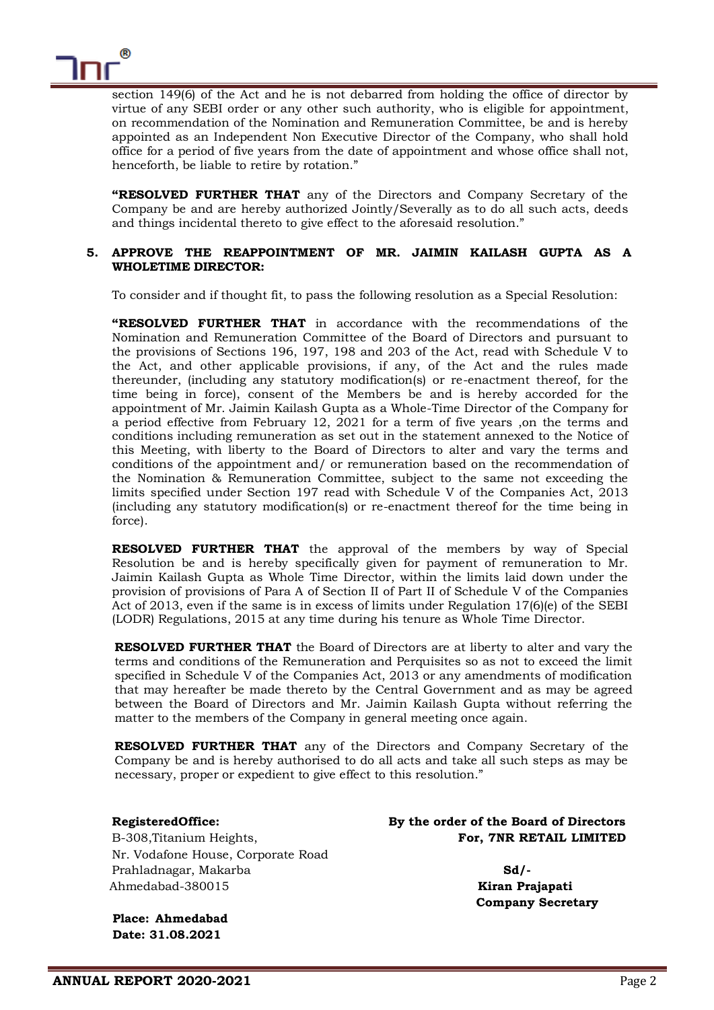

section 149(6) of the Act and he is not debarred from holding the office of director by virtue of any SEBI order or any other such authority, who is eligible for appointment, on recommendation of the Nomination and Remuneration Committee, be and is hereby appointed as an Independent Non Executive Director of the Company, who shall hold office for a period of five years from the date of appointment and whose office shall not, henceforth, be liable to retire by rotation."

**"RESOLVED FURTHER THAT** any of the Directors and Company Secretary of the Company be and are hereby authorized Jointly/Severally as to do all such acts, deeds and things incidental thereto to give effect to the aforesaid resolution."

## **5. APPROVE THE REAPPOINTMENT OF MR. JAIMIN KAILASH GUPTA AS A WHOLETIME DIRECTOR:**

To consider and if thought fit, to pass the following resolution as a Special Resolution:

**"RESOLVED FURTHER THAT** in accordance with the recommendations of the Nomination and Remuneration Committee of the Board of Directors and pursuant to the provisions of Sections 196, 197, 198 and 203 of the Act, read with Schedule V to the Act, and other applicable provisions, if any, of the Act and the rules made thereunder, (including any statutory modification(s) or re-enactment thereof, for the time being in force), consent of the Members be and is hereby accorded for the appointment of Mr. Jaimin Kailash Gupta as a Whole-Time Director of the Company for a period effective from February 12, 2021 for a term of five years ,on the terms and conditions including remuneration as set out in the statement annexed to the Notice of this Meeting, with liberty to the Board of Directors to alter and vary the terms and conditions of the appointment and/ or remuneration based on the recommendation of the Nomination & Remuneration Committee, subject to the same not exceeding the limits specified under Section 197 read with Schedule V of the Companies Act, 2013 (including any statutory modification(s) or re-enactment thereof for the time being in force).

**RESOLVED FURTHER THAT** the approval of the members by way of Special Resolution be and is hereby specifically given for payment of remuneration to Mr. Jaimin Kailash Gupta as Whole Time Director, within the limits laid down under the provision of provisions of Para A of Section II of Part II of Schedule V of the Companies Act of 2013, even if the same is in excess of limits under Regulation 17(6)(e) of the SEBI (LODR) Regulations, 2015 at any time during his tenure as Whole Time Director.

**RESOLVED FURTHER THAT** the Board of Directors are at liberty to alter and vary the terms and conditions of the Remuneration and Perquisites so as not to exceed the limit specified in Schedule V of the Companies Act, 2013 or any amendments of modification that may hereafter be made thereto by the Central Government and as may be agreed between the Board of Directors and Mr. Jaimin Kailash Gupta without referring the matter to the members of the Company in general meeting once again.

**RESOLVED FURTHER THAT** any of the Directors and Company Secretary of the Company be and is hereby authorised to do all acts and take all such steps as may be necessary, proper or expedient to give effect to this resolution."

Nr. Vodafone House, Corporate Road Prahladnagar, Makarba **Sd/-** Ahmedabad-380015 **Kiran Prajapati**

**RegisteredOffice: By the order of the Board of Directors**  B-308,Titanium Heights, **For, 7NR RETAIL LIMITED** 

**Company Secretary**

**Place: Ahmedabad Date: 31.08.2021**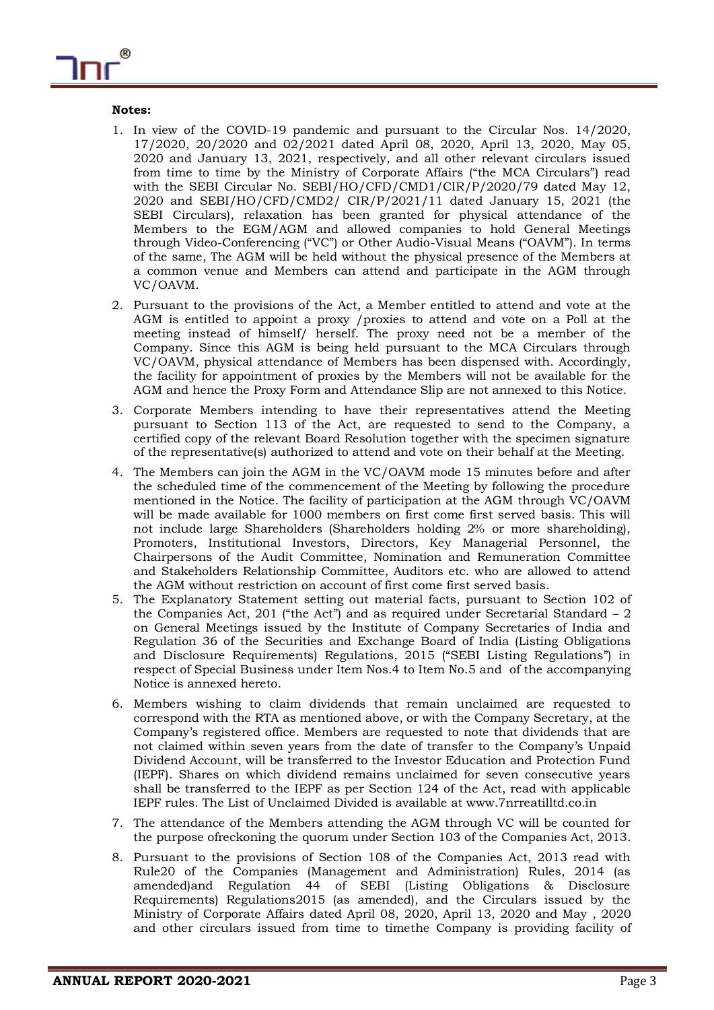## **Notes:**

- 1. In view of the COVID-19 pandemic and pursuant to the Circular Nos. 14/2020, 17/2020, 20/2020 and 02/2021 dated April 08, 2020, April 13, 2020, May 05, 2020 and January 13, 2021, respectively, and all other relevant circulars issued from time to time by the Ministry of Corporate Affairs ("the MCA Circulars") read with the SEBI Circular No. SEBI/HO/CFD/CMD1/CIR/P/2020/79 dated May 12, 2020 and SEBI/HO/CFD/CMD2/ CIR/P/2021/11 dated January 15, 2021 (the SEBI Circulars), relaxation has been granted for physical attendance of the Members to the EGM/AGM and allowed companies to hold General Meetings through Video-Conferencing ("VC") or Other Audio-Visual Means ("OAVM"). In terms of the same, The AGM will be held without the physical presence of the Members at a common venue and Members can attend and participate in the AGM through VC/OAVM.
- 2. Pursuant to the provisions of the Act, a Member entitled to attend and vote at the AGM is entitled to appoint a proxy /proxies to attend and vote on a Poll at the meeting instead of himself/ herself. The proxy need not be a member of the Company. Since this AGM is being held pursuant to the MCA Circulars through VC/OAVM, physical attendance of Members has been dispensed with. Accordingly, the facility for appointment of proxies by the Members will not be available for the AGM and hence the Proxy Form and Attendance Slip are not annexed to this Notice.
- 3. Corporate Members intending to have their representatives attend the Meeting pursuant to Section 113 of the Act, are requested to send to the Company, a certified copy of the relevant Board Resolution together with the specimen signature of the representative(s) authorized to attend and vote on their behalf at the Meeting.
- 4. The Members can join the AGM in the VC/OAVM mode 15 minutes before and after the scheduled time of the commencement of the Meeting by following the procedure mentioned in the Notice. The facility of participation at the AGM through VC/OAVM will be made available for 1000 members on first come first served basis. This will not include large Shareholders (Shareholders holding 2% or more shareholding), Promoters, Institutional Investors, Directors, Key Managerial Personnel, the Chairpersons of the Audit Committee, Nomination and Remuneration Committee and Stakeholders Relationship Committee, Auditors etc. who are allowed to attend the AGM without restriction on account of first come first served basis.
- 5. The Explanatory Statement setting out material facts, pursuant to Section 102 of the Companies Act, 201 ("the Act") and as required under Secretarial Standard  $-2$ on General Meetings issued by the Institute of Company Secretaries of India and Regulation 36 of the Securities and Exchange Board of India (Listing Obligations and Disclosure Requirements) Regulations, 2015 ("SEBI Listing Regulations") in respect of Special Business under Item Nos.4 to Item No.5 and of the accompanying Notice is annexed hereto.
- 6. Members wishing to claim dividends that remain unclaimed are requested to correspond with the RTA as mentioned above, or with the Company Secretary, at the Company's registered office. Members are requested to note that dividends that are not claimed within seven years from the date of transfer to the Company's Unpaid Dividend Account, will be transferred to the Investor Education and Protection Fund (IEPF). Shares on which dividend remains unclaimed for seven consecutive years shall be transferred to the IEPF as per Section 124 of the Act, read with applicable IEPF rules. The List of Unclaimed Divided is available at www.7nrreatilltd.co.in
- 7. The attendance of the Members attending the AGM through VC will be counted for the purpose ofreckoning the quorum under Section 103 of the Companies Act, 2013.
- 8. Pursuant to the provisions of Section 108 of the Companies Act, 2013 read with Rule20 of the Companies (Management and Administration) Rules, 2014 (as amended)and Regulation 44 of SEBI (Listing Obligations & Disclosure Requirements) Regulations2015 (as amended), and the Circulars issued by the Ministry of Corporate Affairs dated April 08, 2020, April 13, 2020 and May , 2020 and other circulars issued from time to timethe Company is providing facility of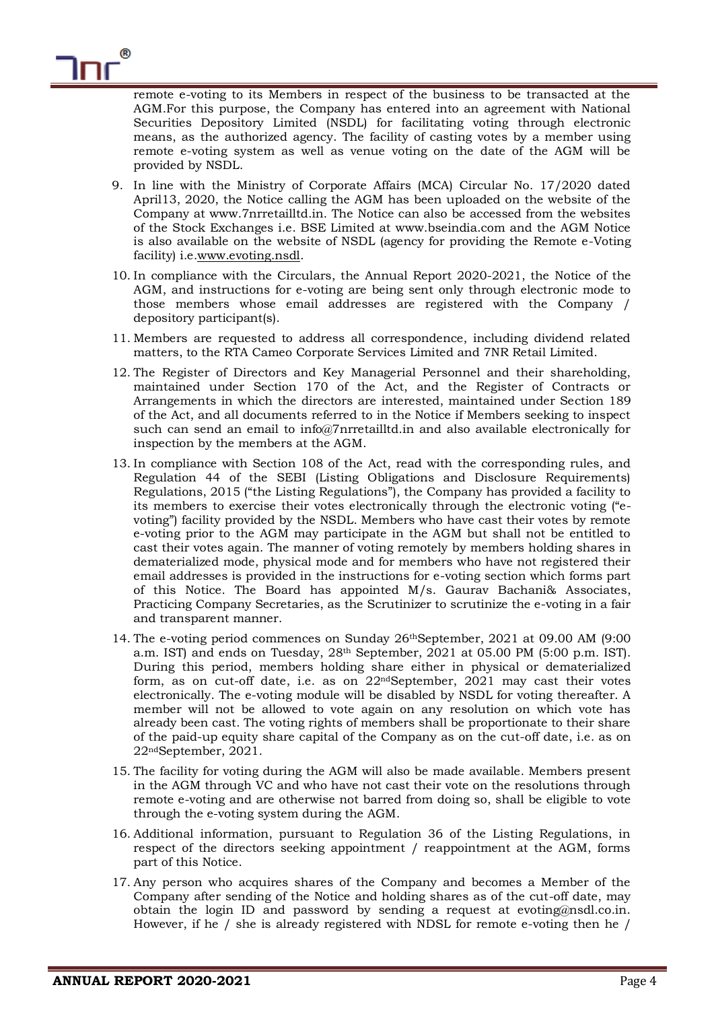remote e-voting to its Members in respect of the business to be transacted at the AGM.For this purpose, the Company has entered into an agreement with National Securities Depository Limited (NSDL) for facilitating voting through electronic means, as the authorized agency. The facility of casting votes by a member using remote e-voting system as well as venue voting on the date of the AGM will be provided by NSDL.

- 9. In line with the Ministry of Corporate Affairs (MCA) Circular No. 17/2020 dated April13, 2020, the Notice calling the AGM has been uploaded on the website of the Company at www.7nrretailltd.in. The Notice can also be accessed from the websites of the Stock Exchanges i.e. BSE Limited at www.bseindia.com and the AGM Notice is also available on the website of NSDL (agency for providing the Remote e-Voting facility) i.e[.www.evoting.nsdl.](http://www.evoting.nsdl/)
- 10. In compliance with the Circulars, the Annual Report 2020-2021, the Notice of the AGM, and instructions for e-voting are being sent only through electronic mode to those members whose email addresses are registered with the Company / depository participant(s).
- 11. Members are requested to address all correspondence, including dividend related matters, to the RTA Cameo Corporate Services Limited and 7NR Retail Limited.
- 12. The Register of Directors and Key Managerial Personnel and their shareholding, maintained under Section 170 of the Act, and the Register of Contracts or Arrangements in which the directors are interested, maintained under Section 189 of the Act, and all documents referred to in the Notice if Members seeking to inspect such can send an email to info@7nrretailltd.in and also available electronically for inspection by the members at the AGM.
- 13. In compliance with Section 108 of the Act, read with the corresponding rules, and Regulation 44 of the SEBI (Listing Obligations and Disclosure Requirements) Regulations, 2015 ("the Listing Regulations"), the Company has provided a facility to its members to exercise their votes electronically through the electronic voting ("evoting") facility provided by the NSDL. Members who have cast their votes by remote e-voting prior to the AGM may participate in the AGM but shall not be entitled to cast their votes again. The manner of voting remotely by members holding shares in dematerialized mode, physical mode and for members who have not registered their email addresses is provided in the instructions for e-voting section which forms part of this Notice. The Board has appointed M/s. Gaurav Bachani& Associates, Practicing Company Secretaries, as the Scrutinizer to scrutinize the e-voting in a fair and transparent manner.
- 14. The e-voting period commences on Sunday 26thSeptember, 2021 at 09.00 AM (9:00 a.m. IST) and ends on Tuesday, 28th September, 2021 at 05.00 PM (5:00 p.m. IST). During this period, members holding share either in physical or dematerialized form, as on cut-off date, i.e. as on  $22<sup>nd</sup>$ September, 2021 may cast their votes electronically. The e-voting module will be disabled by NSDL for voting thereafter. A member will not be allowed to vote again on any resolution on which vote has already been cast. The voting rights of members shall be proportionate to their share of the paid-up equity share capital of the Company as on the cut-off date, i.e. as on 22ndSeptember, 2021.
- 15. The facility for voting during the AGM will also be made available. Members present in the AGM through VC and who have not cast their vote on the resolutions through remote e-voting and are otherwise not barred from doing so, shall be eligible to vote through the e-voting system during the AGM.
- 16. Additional information, pursuant to Regulation 36 of the Listing Regulations, in respect of the directors seeking appointment / reappointment at the AGM, forms part of this Notice.
- 17. Any person who acquires shares of the Company and becomes a Member of the Company after sending of the Notice and holding shares as of the cut-off date, may obtain the login ID and password by sending a request at evoting@nsdl.co.in. However, if he / she is already registered with NDSL for remote e-voting then he /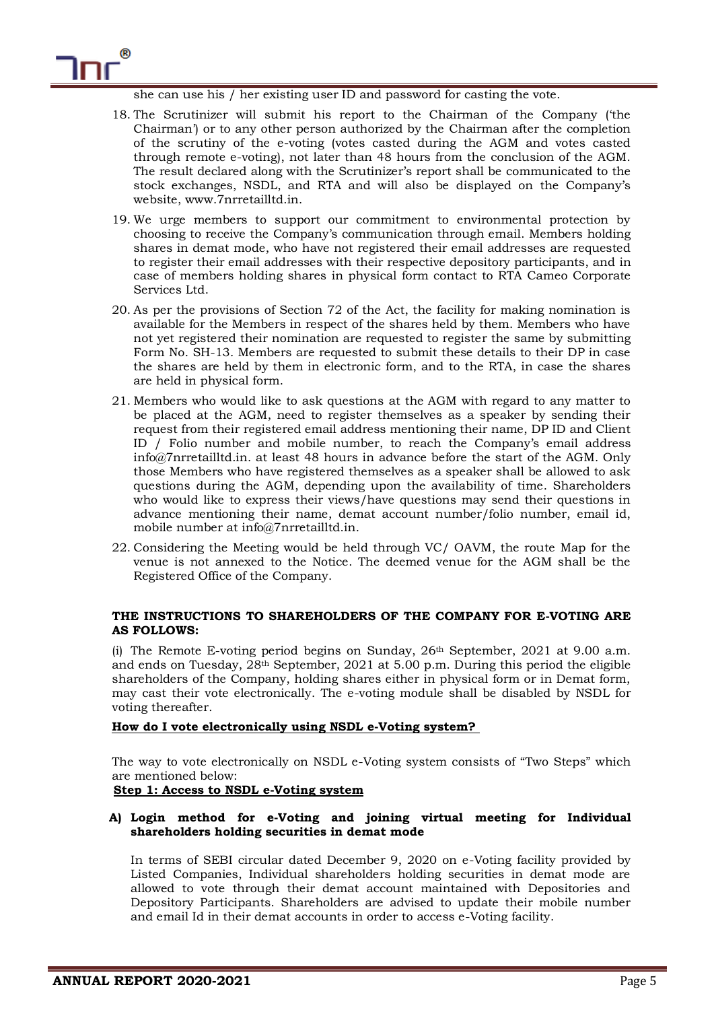

she can use his / her existing user ID and password for casting the vote.

- 18. The Scrutinizer will submit his report to the Chairman of the Company ('the Chairman') or to any other person authorized by the Chairman after the completion of the scrutiny of the e-voting (votes casted during the AGM and votes casted through remote e-voting), not later than 48 hours from the conclusion of the AGM. The result declared along with the Scrutinizer's report shall be communicated to the stock exchanges, NSDL, and RTA and will also be displayed on the Company's website, www.7nrretailltd.in.
- 19. We urge members to support our commitment to environmental protection by choosing to receive the Company's communication through email. Members holding shares in demat mode, who have not registered their email addresses are requested to register their email addresses with their respective depository participants, and in case of members holding shares in physical form contact to RTA Cameo Corporate Services Ltd.
- 20. As per the provisions of Section 72 of the Act, the facility for making nomination is available for the Members in respect of the shares held by them. Members who have not yet registered their nomination are requested to register the same by submitting Form No. SH-13. Members are requested to submit these details to their DP in case the shares are held by them in electronic form, and to the RTA, in case the shares are held in physical form.
- 21. Members who would like to ask questions at the AGM with regard to any matter to be placed at the AGM, need to register themselves as a speaker by sending their request from their registered email address mentioning their name, DP ID and Client ID / Folio number and mobile number, to reach the Company's email address [info@7nrretailltd.in.](mailto:info@7nrretailltd.in) at least 48 hours in advance before the start of the AGM. Only those Members who have registered themselves as a speaker shall be allowed to ask questions during the AGM, depending upon the availability of time. Shareholders who would like to express their views/have questions may send their questions in advance mentioning their name, demat account number/folio number, email id, mobile number at [info@7nrretailltd.in.](mailto:info@7nrretailltd.in)
- 22. Considering the Meeting would be held through VC/ OAVM, the route Map for the venue is not annexed to the Notice. The deemed venue for the AGM shall be the Registered Office of the Company.

# **THE INSTRUCTIONS TO SHAREHOLDERS OF THE COMPANY FOR E-VOTING ARE AS FOLLOWS:**

(i) The Remote E-voting period begins on Sunday, 26th September, 2021 at 9.00 a.m. and ends on Tuesday,  $28<sup>th</sup>$  September, 2021 at 5.00 p.m. During this period the eligible shareholders of the Company, holding shares either in physical form or in Demat form, may cast their vote electronically. The e-voting module shall be disabled by NSDL for voting thereafter.

# **How do I vote electronically using NSDL e-Voting system?**

The way to vote electronically on NSDL e-Voting system consists of "Two Steps" which are mentioned below:

# **Step 1: Access to NSDL e-Voting system**

## **A) Login method for e-Voting and joining virtual meeting for Individual shareholders holding securities in demat mode**

In terms of SEBI circular dated December 9, 2020 on e-Voting facility provided by Listed Companies, Individual shareholders holding securities in demat mode are allowed to vote through their demat account maintained with Depositories and Depository Participants. Shareholders are advised to update their mobile number and email Id in their demat accounts in order to access e-Voting facility.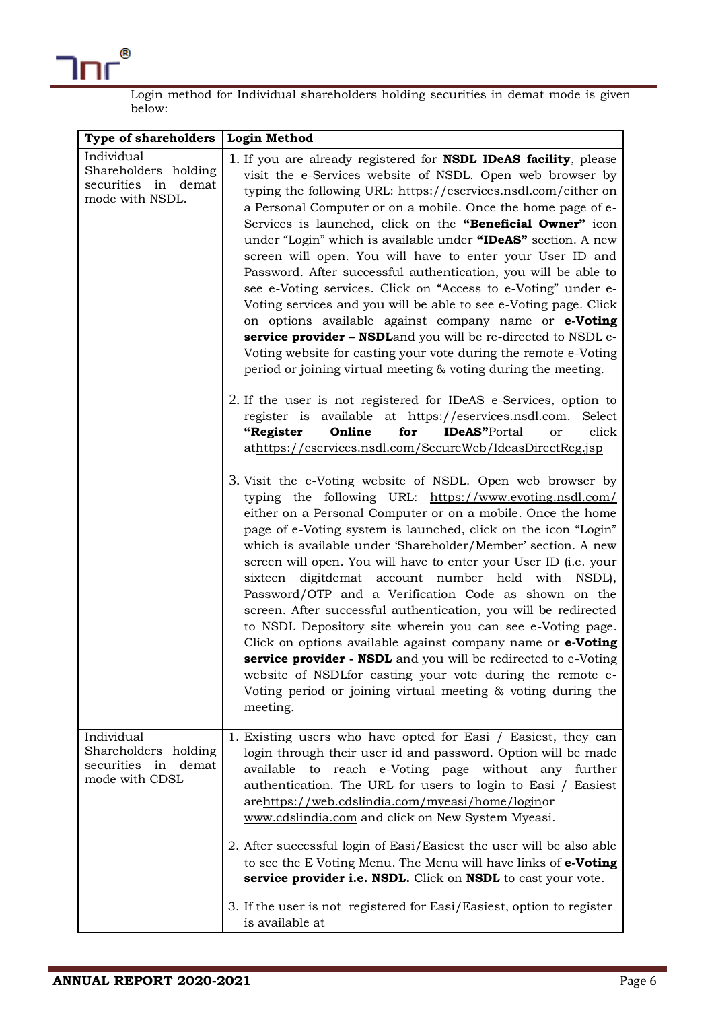

Login method for Individual shareholders holding securities in demat mode is given below:

| Type of shareholders                                                         | <b>Login Method</b>                                                                                                                                                                                                                                                                                                                                                                                                                                                                                                                                                                                                                                                                                                                                                                                                                                                                                                                       |  |  |  |
|------------------------------------------------------------------------------|-------------------------------------------------------------------------------------------------------------------------------------------------------------------------------------------------------------------------------------------------------------------------------------------------------------------------------------------------------------------------------------------------------------------------------------------------------------------------------------------------------------------------------------------------------------------------------------------------------------------------------------------------------------------------------------------------------------------------------------------------------------------------------------------------------------------------------------------------------------------------------------------------------------------------------------------|--|--|--|
| Individual<br>Shareholders holding<br>securities in demat<br>mode with NSDL. | 1. If you are already registered for <b>NSDL IDeAS facility</b> , please<br>visit the e-Services website of NSDL. Open web browser by<br>typing the following URL: https://eservices.nsdl.com/either on<br>a Personal Computer or on a mobile. Once the home page of e-<br>Services is launched, click on the "Beneficial Owner" icon<br>under "Login" which is available under "IDeAS" section. A new<br>screen will open. You will have to enter your User ID and<br>Password. After successful authentication, you will be able to<br>see e-Voting services. Click on "Access to e-Voting" under e-<br>Voting services and you will be able to see e-Voting page. Click<br>on options available against company name or e-Voting<br>service provider - NSDLand you will be re-directed to NSDL e-<br>Voting website for casting your vote during the remote e-Voting<br>period or joining virtual meeting & voting during the meeting. |  |  |  |
|                                                                              | 2. If the user is not registered for IDeAS e-Services, option to<br>register is available at https://eservices.nsdl.com.<br>Select<br>Online<br><b>IDeAS</b> "Portal<br>click<br>"Register<br>for<br>or<br>athttps://eservices.nsdl.com/SecureWeb/IdeasDirectReg.jsp                                                                                                                                                                                                                                                                                                                                                                                                                                                                                                                                                                                                                                                                      |  |  |  |
|                                                                              | 3. Visit the e-Voting website of NSDL. Open web browser by<br>typing the following URL: https://www.evoting.nsdl.com/<br>either on a Personal Computer or on a mobile. Once the home<br>page of e-Voting system is launched, click on the icon "Login"<br>which is available under 'Shareholder/Member' section. A new<br>screen will open. You will have to enter your User ID (i.e. your<br>sixteen digitdemat account number held with NSDL),<br>Password/OTP and a Verification Code as shown on the<br>screen. After successful authentication, you will be redirected<br>to NSDL Depository site wherein you can see e-Voting page.<br>Click on options available against company name or e-Voting<br>service provider - NSDL and you will be redirected to e-Voting<br>website of NSDL for casting your vote during the remote e-<br>Voting period or joining virtual meeting & voting during the<br>meeting.                      |  |  |  |
| Individual<br>Shareholders holding<br>securities in demat<br>mode with CDSL  | 1. Existing users who have opted for Easi / Easiest, they can<br>login through their user id and password. Option will be made<br>to reach e-Voting page without any<br>available<br>further<br>authentication. The URL for users to login to Easi / Easiest<br>arehttps://web.cdslindia.com/myeasi/home/loginor<br>www.cdslindia.com and click on New System Myeasi.                                                                                                                                                                                                                                                                                                                                                                                                                                                                                                                                                                     |  |  |  |
|                                                                              | 2. After successful login of Easi/Easiest the user will be also able<br>to see the E Voting Menu. The Menu will have links of e-Voting<br>service provider i.e. NSDL. Click on NSDL to cast your vote.                                                                                                                                                                                                                                                                                                                                                                                                                                                                                                                                                                                                                                                                                                                                    |  |  |  |
|                                                                              | 3. If the user is not registered for Easi/Easiest, option to register<br>is available at                                                                                                                                                                                                                                                                                                                                                                                                                                                                                                                                                                                                                                                                                                                                                                                                                                                  |  |  |  |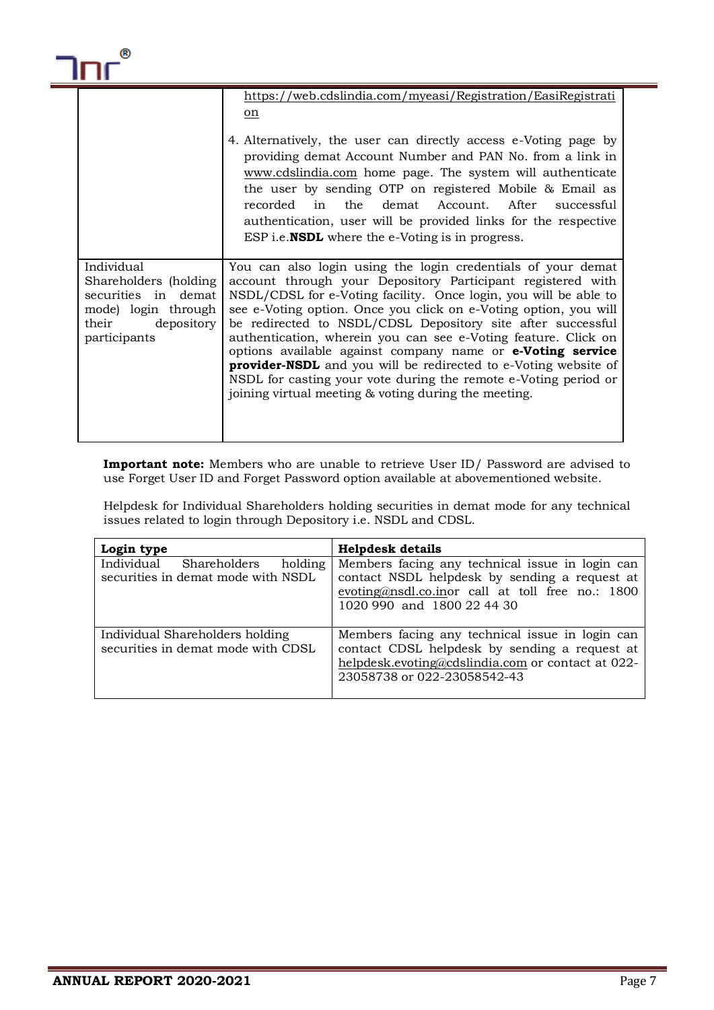

|                                                                                                                          | https://web.cdslindia.com/myeasi/Registration/EasiRegistrati<br>on<br>4. Alternatively, the user can directly access e-Voting page by<br>providing demat Account Number and PAN No. from a link in<br>www.cdslindia.com home page. The system will authenticate<br>the user by sending OTP on registered Mobile & Email as<br>recorded in the demat Account. After successful<br>authentication, user will be provided links for the respective<br>ESP i.e. <b>NSDL</b> where the e-Voting is in progress.                                                                                                                                                              |
|--------------------------------------------------------------------------------------------------------------------------|-------------------------------------------------------------------------------------------------------------------------------------------------------------------------------------------------------------------------------------------------------------------------------------------------------------------------------------------------------------------------------------------------------------------------------------------------------------------------------------------------------------------------------------------------------------------------------------------------------------------------------------------------------------------------|
| Individual<br>Shareholders (holding<br>securities in demat<br>mode) login through<br>their<br>depository<br>participants | You can also login using the login credentials of your demat<br>account through your Depository Participant registered with<br>NSDL/CDSL for e-Voting facility. Once login, you will be able to<br>see e-Voting option. Once you click on e-Voting option, you will<br>be redirected to NSDL/CDSL Depository site after successful<br>authentication, wherein you can see e-Voting feature. Click on<br>options available against company name or e-Voting service<br><b>provider-NSDL</b> and you will be redirected to e-Voting website of<br>NSDL for casting your vote during the remote e-Voting period or<br>joining virtual meeting & voting during the meeting. |

**Important note:** Members who are unable to retrieve User ID/ Password are advised to use Forget User ID and Forget Password option available at abovementioned website.

Helpdesk for Individual Shareholders holding securities in demat mode for any technical issues related to login through Depository i.e. NSDL and CDSL.

| Login type                                                                  | <b>Helpdesk details</b>                                                                                                                                                              |
|-----------------------------------------------------------------------------|--------------------------------------------------------------------------------------------------------------------------------------------------------------------------------------|
| Individual<br>Shareholders<br>holding<br>securities in demat mode with NSDL | Members facing any technical issue in login can<br>contact NSDL helpdesk by sending a request at<br>evoting@nsdl.co.inor call at toll free no.: 1800<br>1020 990 and 1800 22 44 30   |
| Individual Shareholders holding<br>securities in demat mode with CDSL       | Members facing any technical issue in login can<br>contact CDSL helpdesk by sending a request at<br>helpdesk.evoting@cdslindia.com or contact at 022-<br>23058738 or 022-23058542-43 |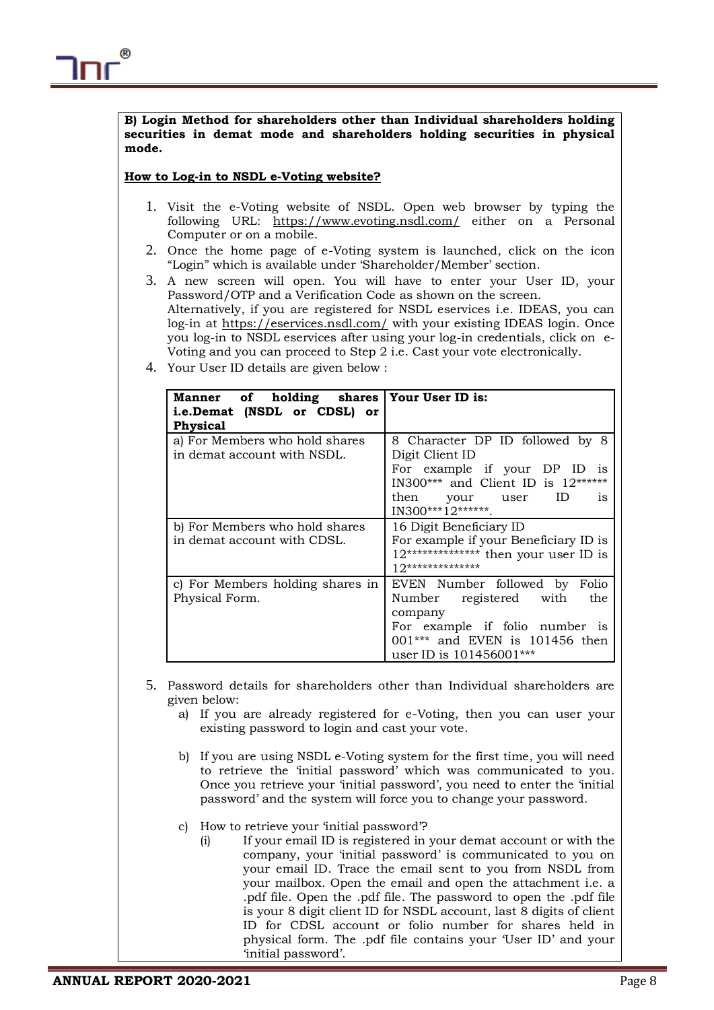**B) Login Method for shareholders other than Individual shareholders holding securities in demat mode and shareholders holding securities in physical mode.**

# **How to Log-in to NSDL e-Voting website?**

- 1. Visit the e-Voting website of NSDL. Open web browser by typing the following URL: <https://www.evoting.nsdl.com/> either on a Personal Computer or on a mobile.
- 2. Once the home page of e-Voting system is launched, click on the icon "Login" which is available under 'Shareholder/Member' section.
- 3. A new screen will open. You will have to enter your User ID, your Password/OTP and a Verification Code as shown on the screen. Alternatively, if you are registered for NSDL eservices i.e. IDEAS, you can log-in at<https://eservices.nsdl.com/> with your existing IDEAS login. Once you log-in to NSDL eservices after using your log-in credentials, click on e-Voting and you can proceed to Step 2 i.e. Cast your vote electronically.
- 4. Your User ID details are given below :

| Manner of holding shares   Your User ID is:<br>i.e.Demat (NSDL or CDSL) or<br><b>Physical</b> |                                                                                                                                                                                 |  |
|-----------------------------------------------------------------------------------------------|---------------------------------------------------------------------------------------------------------------------------------------------------------------------------------|--|
| a) For Members who hold shares<br>in demat account with NSDL.                                 | 8 Character DP ID followed by 8<br>Digit Client ID<br>For example if your DP ID<br>1S<br>IN300*** and Client ID is 12******<br>then your user<br>ID<br>1S<br>IN300***12*******. |  |
| b) For Members who hold shares<br>in demat account with CDSL.                                 | 16 Digit Beneficiary ID<br>For example if your Beneficiary ID is<br>$12******************$ then your user ID is<br>$12****************$                                         |  |
| c) For Members holding shares in<br>Physical Form.                                            | EVEN Number followed by Folio<br>Number registered with<br>the<br>company<br>For example if folio number is<br>001*** and EVEN is 101456 then<br>user ID is 101456001***        |  |

- 5. Password details for shareholders other than Individual shareholders are given below:
	- a) If you are already registered for e-Voting, then you can user your existing password to login and cast your vote.
	- b) If you are using NSDL e-Voting system for the first time, you will need to retrieve the 'initial password' which was communicated to you. Once you retrieve your 'initial password', you need to enter the 'initial password' and the system will force you to change your password.
	- c) How to retrieve your 'initial password'?
		- (i) If your email ID is registered in your demat account or with the company, your 'initial password' is communicated to you on your email ID. Trace the email sent to you from NSDL from your mailbox. Open the email and open the attachment i.e. a .pdf file. Open the .pdf file. The password to open the .pdf file is your 8 digit client ID for NSDL account, last 8 digits of client ID for CDSL account or folio number for shares held in physical form. The .pdf file contains your 'User ID' and your 'initial password'.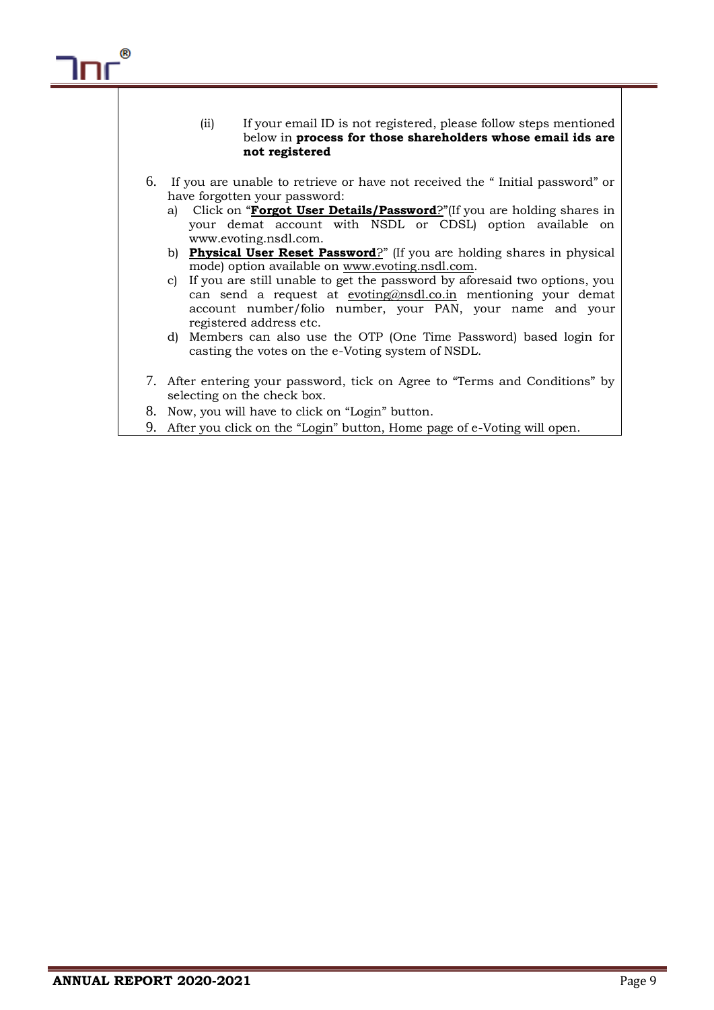

9. After you click on the "Login" button, Home page of e-Voting will open.

®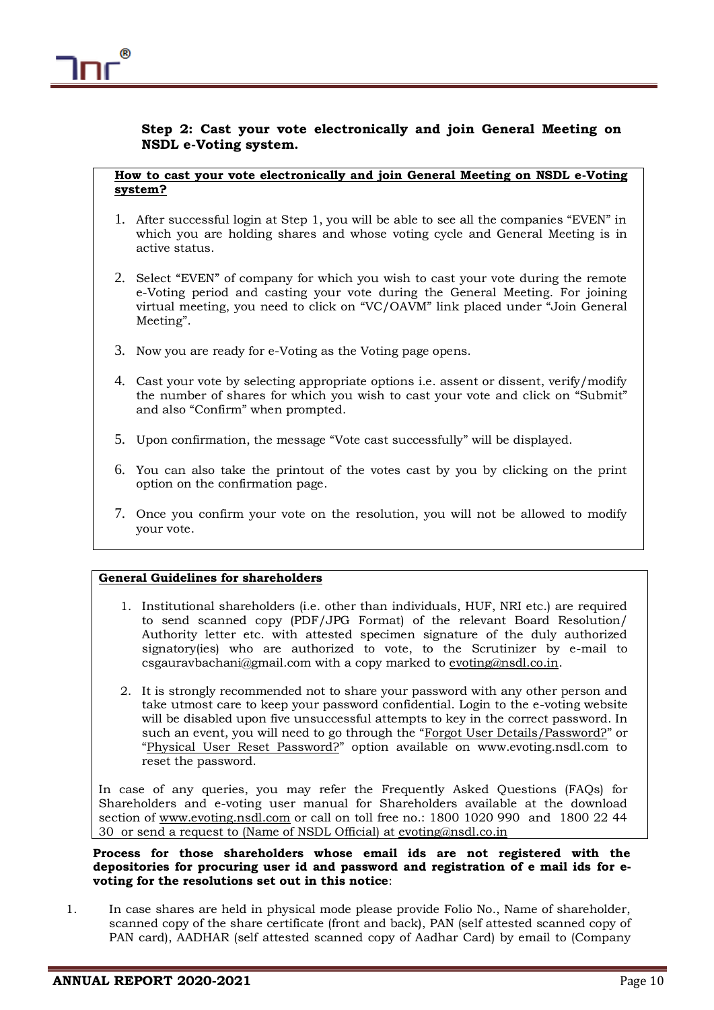# **Step 2: Cast your vote electronically and join General Meeting on NSDL e-Voting system.**

# **How to cast your vote electronically and join General Meeting on NSDL e-Voting system?**

- 1. After successful login at Step 1, you will be able to see all the companies "EVEN" in which you are holding shares and whose voting cycle and General Meeting is in active status.
- 2. Select "EVEN" of company for which you wish to cast your vote during the remote e-Voting period and casting your vote during the General Meeting. For joining virtual meeting, you need to click on "VC/OAVM" link placed under "Join General Meeting".
- 3. Now you are ready for e-Voting as the Voting page opens.
- 4. Cast your vote by selecting appropriate options i.e. assent or dissent, verify/modify the number of shares for which you wish to cast your vote and click on "Submit" and also "Confirm" when prompted.
- 5. Upon confirmation, the message "Vote cast successfully" will be displayed.
- 6. You can also take the printout of the votes cast by you by clicking on the print option on the confirmation page.
- 7. Once you confirm your vote on the resolution, you will not be allowed to modify your vote.

## **General Guidelines for shareholders**

- 1. Institutional shareholders (i.e. other than individuals, HUF, NRI etc.) are required to send scanned copy (PDF/JPG Format) of the relevant Board Resolution/ Authority letter etc. with attested specimen signature of the duly authorized signatory(ies) who are authorized to vote, to the Scrutinizer by e-mail to csgauravbachani@gmail.com with a copy marked to [evoting@nsdl.co.in.](mailto:evoting@nsdl.co.in)
- 2. It is strongly recommended not to share your password with any other person and take utmost care to keep your password confidential. Login to the e-voting website will be disabled upon five unsuccessful attempts to key in the correct password. In such an event, you will need to go through the "[Forgot User Details/Password?](https://www.evoting.nsdl.com/eVotingWeb/commonhtmls/NewUser.jsp)" or "[Physical User Reset Password?](https://www.evoting.nsdl.com/eVotingWeb/commonhtmls/PhysicalUser.jsp)" option available on www.evoting.nsdl.com to reset the password.

In case of any queries, you may refer the Frequently Asked Questions (FAQs) for Shareholders and e-voting user manual for Shareholders available at the download section of [www.evoting.nsdl.com](http://www.evoting.nsdl.com/) or call on toll free no.: 1800 1020 990 and 1800 22 44 30 or send a request to (Name of NSDL Official) at [evoting@nsdl.co.in](mailto:evoting@nsdl.co.in)

**Process for those shareholders whose email ids are not registered with the depositories for procuring user id and password and registration of e mail ids for evoting for the resolutions set out in this notice**:

1. In case shares are held in physical mode please provide Folio No., Name of shareholder, scanned copy of the share certificate (front and back), PAN (self attested scanned copy of PAN card), AADHAR (self attested scanned copy of Aadhar Card) by email to (Company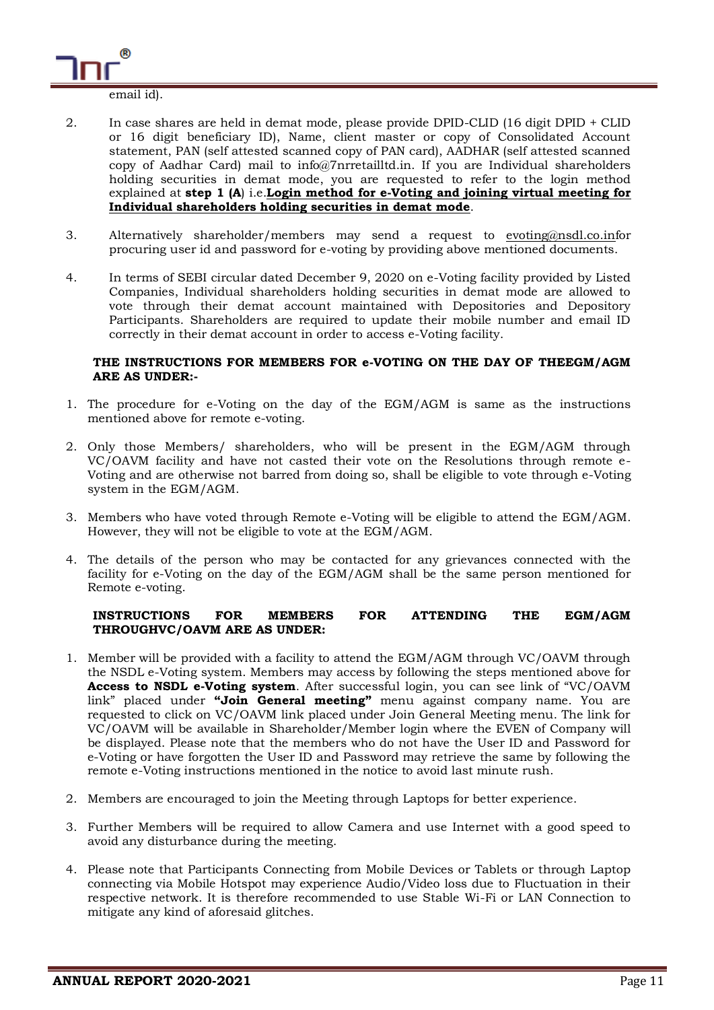

- email id).
- 2. In case shares are held in demat mode, please provide DPID-CLID (16 digit DPID + CLID or 16 digit beneficiary ID), Name, client master or copy of Consolidated Account statement, PAN (self attested scanned copy of PAN card), AADHAR (self attested scanned copy of Aadhar Card) mail to info@7nrretailltd.in. If you are Individual shareholders holding securities in demat mode, you are requested to refer to the login method explained at **step 1 (A**) i.e.**Login method for e-Voting and joining virtual meeting for Individual shareholders holding securities in demat mode**.
- 3. Alternatively shareholder/members may send a request to [evoting@nsdl.co.inf](mailto:evoting@nsdl.co.in)or procuring user id and password for e-voting by providing above mentioned documents.
- 4. In terms of SEBI circular dated December 9, 2020 on e-Voting facility provided by Listed Companies, Individual shareholders holding securities in demat mode are allowed to vote through their demat account maintained with Depositories and Depository Participants. Shareholders are required to update their mobile number and email ID correctly in their demat account in order to access e-Voting facility.

## **THE INSTRUCTIONS FOR MEMBERS FOR e-VOTING ON THE DAY OF THEEGM/AGM ARE AS UNDER:-**

- 1. The procedure for e-Voting on the day of the EGM/AGM is same as the instructions mentioned above for remote e-voting.
- 2. Only those Members/ shareholders, who will be present in the EGM/AGM through VC/OAVM facility and have not casted their vote on the Resolutions through remote e-Voting and are otherwise not barred from doing so, shall be eligible to vote through e-Voting system in the EGM/AGM.
- 3. Members who have voted through Remote e-Voting will be eligible to attend the EGM/AGM. However, they will not be eligible to vote at the EGM/AGM.
- 4. The details of the person who may be contacted for any grievances connected with the facility for e-Voting on the day of the EGM/AGM shall be the same person mentioned for Remote e-voting.

# **INSTRUCTIONS FOR MEMBERS FOR ATTENDING THE EGM/AGM THROUGHVC/OAVM ARE AS UNDER:**

- 1. Member will be provided with a facility to attend the EGM/AGM through VC/OAVM through the NSDL e-Voting system. Members may access by following the steps mentioned above for **Access to NSDL e-Voting system**. After successful login, you can see link of "VC/OAVM link" placed under **"Join General meeting"** menu against company name. You are requested to click on VC/OAVM link placed under Join General Meeting menu. The link for VC/OAVM will be available in Shareholder/Member login where the EVEN of Company will be displayed. Please note that the members who do not have the User ID and Password for e-Voting or have forgotten the User ID and Password may retrieve the same by following the remote e-Voting instructions mentioned in the notice to avoid last minute rush.
- 2. Members are encouraged to join the Meeting through Laptops for better experience.
- 3. Further Members will be required to allow Camera and use Internet with a good speed to avoid any disturbance during the meeting.
- 4. Please note that Participants Connecting from Mobile Devices or Tablets or through Laptop connecting via Mobile Hotspot may experience Audio/Video loss due to Fluctuation in their respective network. It is therefore recommended to use Stable Wi-Fi or LAN Connection to mitigate any kind of aforesaid glitches.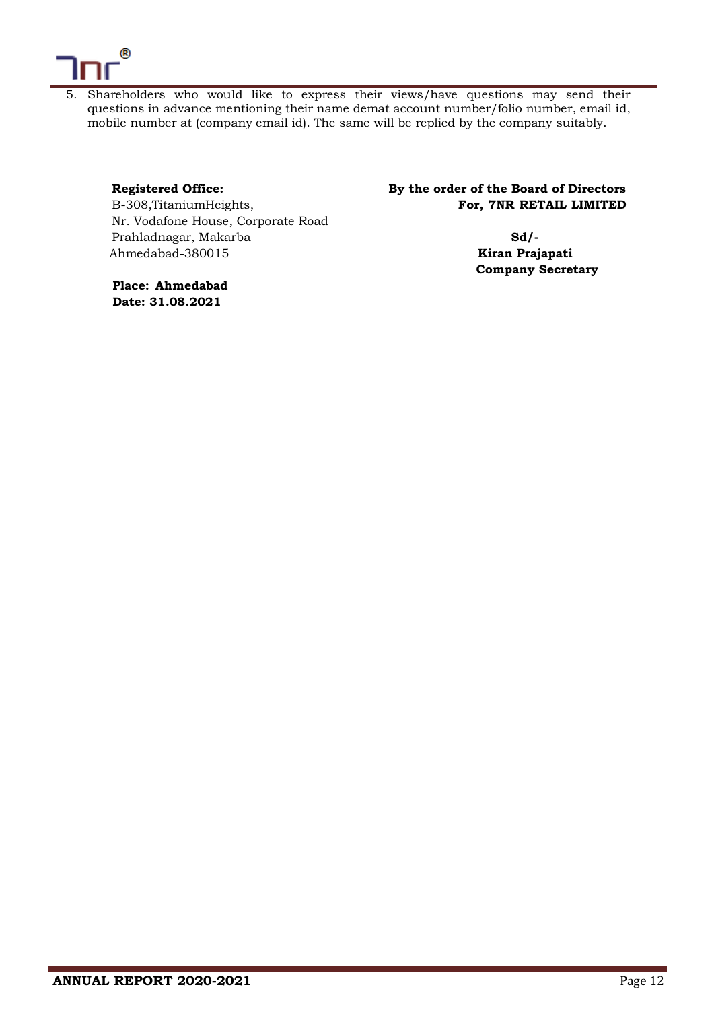

5. Shareholders who would like to express their views/have questions may send their questions in advance mentioning their name demat account number/folio number, email id, mobile number at (company email id). The same will be replied by the company suitably.

Nr. Vodafone House, Corporate Road Prahladnagar, Makarba **Sd/-** Ahmedabad-380015 **Kiran Prajapati**

**Registered Office: By the order of the Board of Directors**  B-308, Titanium Heights, **For, 7NR RETAIL LIMITED** 

**Company Secretary**

**Place: Ahmedabad Date: 31.08.2021**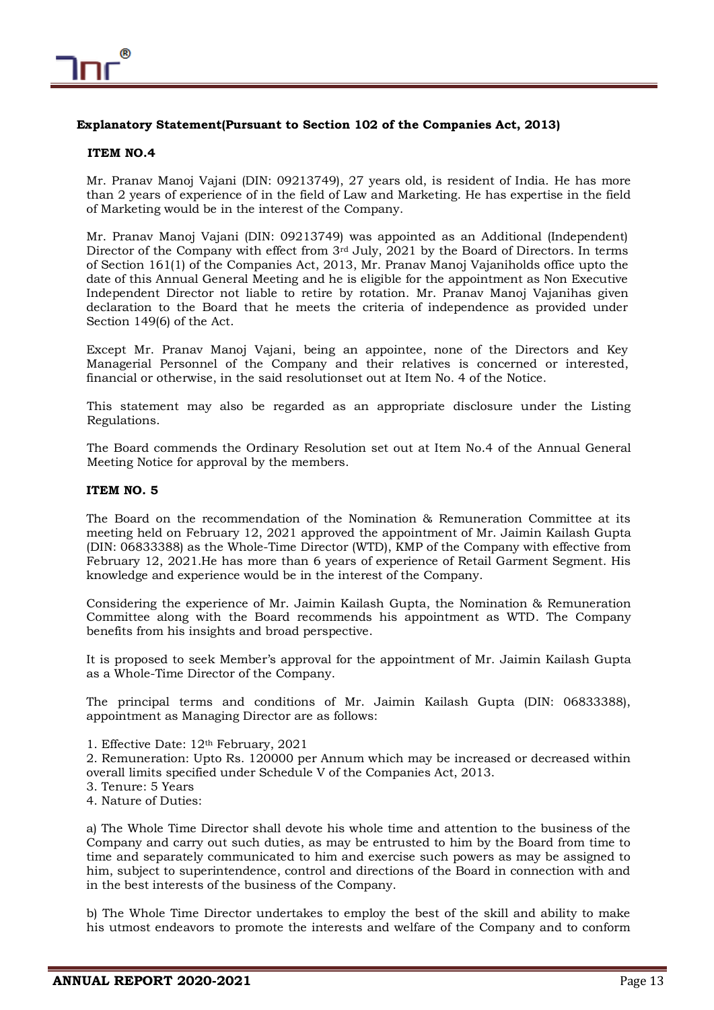

## **Explanatory Statement(Pursuant to Section 102 of the Companies Act, 2013)**

## **ITEM NO.4**

Mr. Pranav Manoj Vajani (DIN: 09213749), 27 years old, is resident of India. He has more than 2 years of experience of in the field of Law and Marketing. He has expertise in the field of Marketing would be in the interest of the Company.

Mr. Pranav Manoj Vajani (DIN: 09213749) was appointed as an Additional (Independent) Director of the Company with effect from 3rd July, 2021 by the Board of Directors. In terms of Section 161(1) of the Companies Act, 2013, Mr. Pranav Manoj Vajaniholds office upto the date of this Annual General Meeting and he is eligible for the appointment as Non Executive Independent Director not liable to retire by rotation. Mr. Pranav Manoj Vajanihas given declaration to the Board that he meets the criteria of independence as provided under Section 149(6) of the Act.

Except Mr. Pranav Manoj Vajani, being an appointee, none of the Directors and Key Managerial Personnel of the Company and their relatives is concerned or interested, financial or otherwise, in the said resolutionset out at Item No. 4 of the Notice.

This statement may also be regarded as an appropriate disclosure under the Listing Regulations.

The Board commends the Ordinary Resolution set out at Item No.4 of the Annual General Meeting Notice for approval by the members.

## **ITEM NO. 5**

The Board on the recommendation of the Nomination & Remuneration Committee at its meeting held on February 12, 2021 approved the appointment of Mr. Jaimin Kailash Gupta (DIN: 06833388) as the Whole-Time Director (WTD), KMP of the Company with effective from February 12, 2021.He has more than 6 years of experience of Retail Garment Segment. His knowledge and experience would be in the interest of the Company.

Considering the experience of Mr. Jaimin Kailash Gupta, the Nomination & Remuneration Committee along with the Board recommends his appointment as WTD. The Company benefits from his insights and broad perspective.

It is proposed to seek Member's approval for the appointment of Mr. Jaimin Kailash Gupta as a Whole-Time Director of the Company.

The principal terms and conditions of Mr. Jaimin Kailash Gupta (DIN: 06833388), appointment as Managing Director are as follows:

1. Effective Date: 12th February, 2021

2. Remuneration: Upto Rs. 120000 per Annum which may be increased or decreased within overall limits specified under Schedule V of the Companies Act, 2013.

- 3. Tenure: 5 Years
- 4. Nature of Duties:

a) The Whole Time Director shall devote his whole time and attention to the business of the Company and carry out such duties, as may be entrusted to him by the Board from time to time and separately communicated to him and exercise such powers as may be assigned to him, subject to superintendence, control and directions of the Board in connection with and in the best interests of the business of the Company.

b) The Whole Time Director undertakes to employ the best of the skill and ability to make his utmost endeavors to promote the interests and welfare of the Company and to conform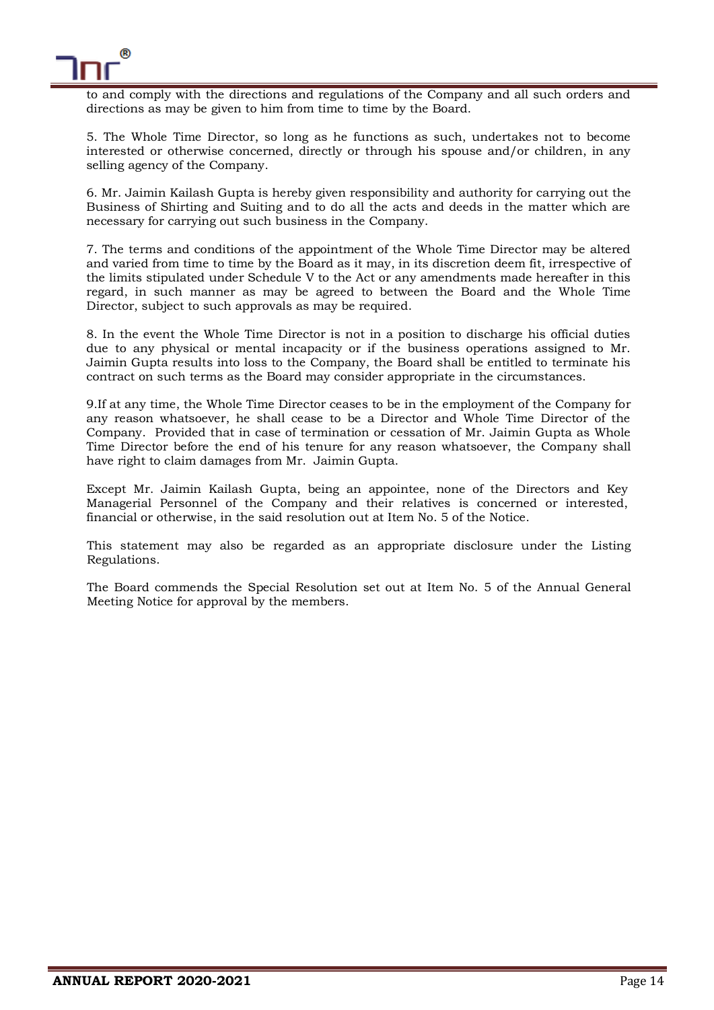

to and comply with the directions and regulations of the Company and all such orders and directions as may be given to him from time to time by the Board.

5. The Whole Time Director, so long as he functions as such, undertakes not to become interested or otherwise concerned, directly or through his spouse and/or children, in any selling agency of the Company.

6. Mr. Jaimin Kailash Gupta is hereby given responsibility and authority for carrying out the Business of Shirting and Suiting and to do all the acts and deeds in the matter which are necessary for carrying out such business in the Company.

7. The terms and conditions of the appointment of the Whole Time Director may be altered and varied from time to time by the Board as it may, in its discretion deem fit, irrespective of the limits stipulated under Schedule V to the Act or any amendments made hereafter in this regard, in such manner as may be agreed to between the Board and the Whole Time Director, subject to such approvals as may be required.

8. In the event the Whole Time Director is not in a position to discharge his official duties due to any physical or mental incapacity or if the business operations assigned to Mr. Jaimin Gupta results into loss to the Company, the Board shall be entitled to terminate his contract on such terms as the Board may consider appropriate in the circumstances.

9.If at any time, the Whole Time Director ceases to be in the employment of the Company for any reason whatsoever, he shall cease to be a Director and Whole Time Director of the Company. Provided that in case of termination or cessation of Mr. Jaimin Gupta as Whole Time Director before the end of his tenure for any reason whatsoever, the Company shall have right to claim damages from Mr. Jaimin Gupta.

Except Mr. Jaimin Kailash Gupta, being an appointee, none of the Directors and Key Managerial Personnel of the Company and their relatives is concerned or interested, financial or otherwise, in the said resolution out at Item No. 5 of the Notice.

This statement may also be regarded as an appropriate disclosure under the Listing Regulations.

The Board commends the Special Resolution set out at Item No. 5 of the Annual General Meeting Notice for approval by the members.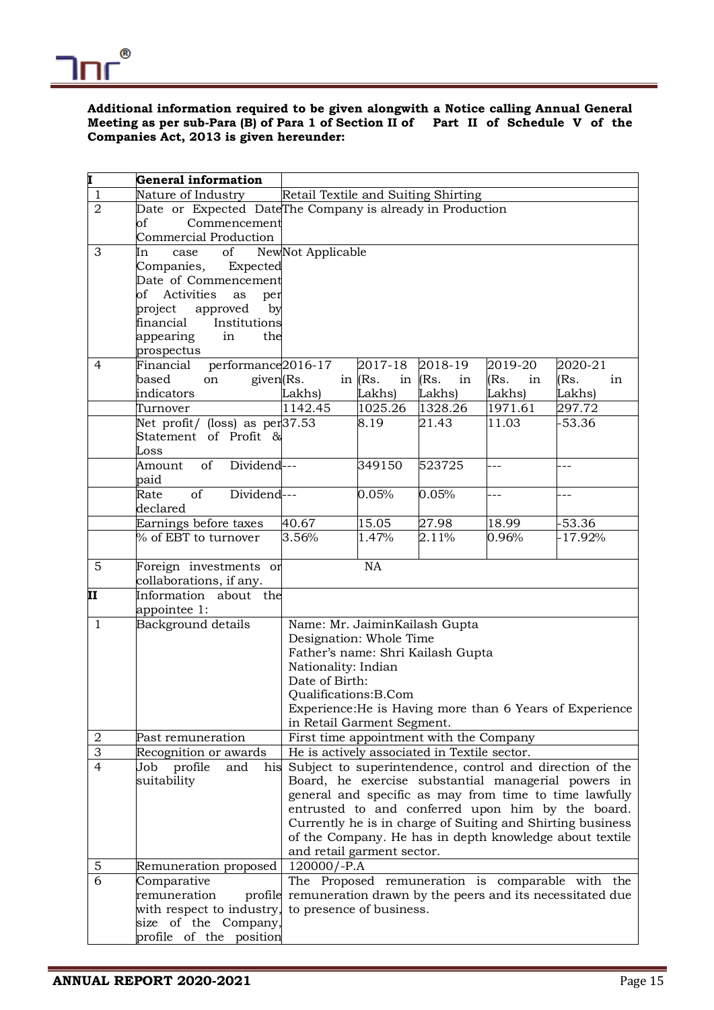

## **Additional information required to be given alongwith a Notice calling Annual General Meeting as per sub-Para (B) of Para 1 of Section II of Part II of Schedule V of the Companies Act, 2013 is given hereunder:**

| Į              | General information                         |                                                              |                 |                  |            |                                                                  |
|----------------|---------------------------------------------|--------------------------------------------------------------|-----------------|------------------|------------|------------------------------------------------------------------|
| $\mathbf{1}$   | Nature of Industry                          | Retail Textile and Suiting Shirting                          |                 |                  |            |                                                                  |
| $\overline{2}$ |                                             | Date or Expected DateThe Company is already in Production    |                 |                  |            |                                                                  |
|                | Commencement<br>of                          |                                                              |                 |                  |            |                                                                  |
|                | <b>Commercial Production</b>                |                                                              |                 |                  |            |                                                                  |
| 3              | of<br>In<br>case                            | NewNot Applicable                                            |                 |                  |            |                                                                  |
|                | Companies,<br>Expected                      |                                                              |                 |                  |            |                                                                  |
|                | Date of Commencement                        |                                                              |                 |                  |            |                                                                  |
|                | of<br>Activities<br>as<br>per               |                                                              |                 |                  |            |                                                                  |
|                | project approved<br>by                      |                                                              |                 |                  |            |                                                                  |
|                | financial<br>Institutions                   |                                                              |                 |                  |            |                                                                  |
|                | appearing<br>in<br>the                      |                                                              |                 |                  |            |                                                                  |
|                | prospectus                                  |                                                              |                 |                  |            |                                                                  |
| $\overline{4}$ | performance <sub>2016-17</sub><br>Financial |                                                              | 2017-18         | 2018-19          | 2019-20    | 2020-21                                                          |
|                | given(Rs.<br>based<br>on                    |                                                              | in $(Rs)$ .     | in $ $ Rs.<br>in | (Rs.<br>in | (Rs.<br>in                                                       |
|                | indicators                                  | Lakhs)                                                       | Lakhs)          | Lakhs)           | Lakhs)     | Lakhs)                                                           |
|                | Turnover                                    | 1142.45                                                      | 1025.26         | 1328.26          | 1971.61    | 297.72                                                           |
|                | Net profit/ (loss) as $per 37.53$           |                                                              | 8.19            | 21.43            | 11.03      | $-53.36$                                                         |
|                | Statement of Profit &                       |                                                              |                 |                  |            |                                                                  |
|                | Loss                                        |                                                              |                 |                  |            |                                                                  |
|                | of<br>Dividend---<br>Amount                 |                                                              | 349150          | 523725           | $-1$       |                                                                  |
|                | paid                                        |                                                              |                 |                  |            |                                                                  |
|                | of<br>Dividend---<br>Rate                   |                                                              | 0.05%           | 0.05%            | ---        |                                                                  |
|                | declared                                    |                                                              |                 |                  |            |                                                                  |
|                | Earnings before taxes                       | 40.67                                                        | 15.05           | 27.98            | 18.99      | $-53.36$                                                         |
|                | % of EBT to turnover                        | 3.56%                                                        | 1.47%           | 2.11%            | 0.96%      | $-17.92%$                                                        |
| $\overline{5}$ | Foreign investments or                      |                                                              | $\overline{NA}$ |                  |            |                                                                  |
|                | collaborations, if any.                     |                                                              |                 |                  |            |                                                                  |
| II             | Information about the                       |                                                              |                 |                  |            |                                                                  |
|                | appointee 1:                                |                                                              |                 |                  |            |                                                                  |
| $\mathbf{1}$   | Background details                          | Name: Mr. JaiminKailash Gupta                                |                 |                  |            |                                                                  |
|                |                                             | Designation: Whole Time<br>Father's name: Shri Kailash Gupta |                 |                  |            |                                                                  |
|                |                                             | Nationality: Indian                                          |                 |                  |            |                                                                  |
|                |                                             | Date of Birth:                                               |                 |                  |            |                                                                  |
|                |                                             | Qualifications:B.Com                                         |                 |                  |            |                                                                  |
|                |                                             |                                                              |                 |                  |            | Experience: He is Having more than 6 Years of Experience         |
|                |                                             | in Retail Garment Segment.                                   |                 |                  |            |                                                                  |
| 2              | Past remuneration                           | First time appointment with the Company                      |                 |                  |            |                                                                  |
| $\overline{3}$ | Recognition or awards                       | He is actively associated in Textile sector.                 |                 |                  |            |                                                                  |
| $\overline{4}$ | Job profile<br>and<br>his                   |                                                              |                 |                  |            | Subject to superintendence, control and direction of the         |
|                | suitability                                 |                                                              |                 |                  |            | Board, he exercise substantial managerial powers in              |
|                |                                             |                                                              |                 |                  |            | general and specific as may from time to time lawfully           |
|                |                                             |                                                              |                 |                  |            | entrusted to and conferred upon him by the board.                |
|                |                                             |                                                              |                 |                  |            | Currently he is in charge of Suiting and Shirting business       |
|                |                                             |                                                              |                 |                  |            | of the Company. He has in depth knowledge about textile          |
|                |                                             | and retail garment sector.                                   |                 |                  |            |                                                                  |
| $\mathbf 5$    | Remuneration proposed                       | $120000/-P.A$                                                |                 |                  |            |                                                                  |
| 6              | Comparative                                 | The Proposed remuneration is comparable with the             |                 |                  |            |                                                                  |
|                | remuneration                                |                                                              |                 |                  |            | profile remuneration drawn by the peers and its necessitated due |
|                | with respect to industry,                   | to presence of business.                                     |                 |                  |            |                                                                  |
|                | size of the Company,                        |                                                              |                 |                  |            |                                                                  |
|                | profile of the position                     |                                                              |                 |                  |            |                                                                  |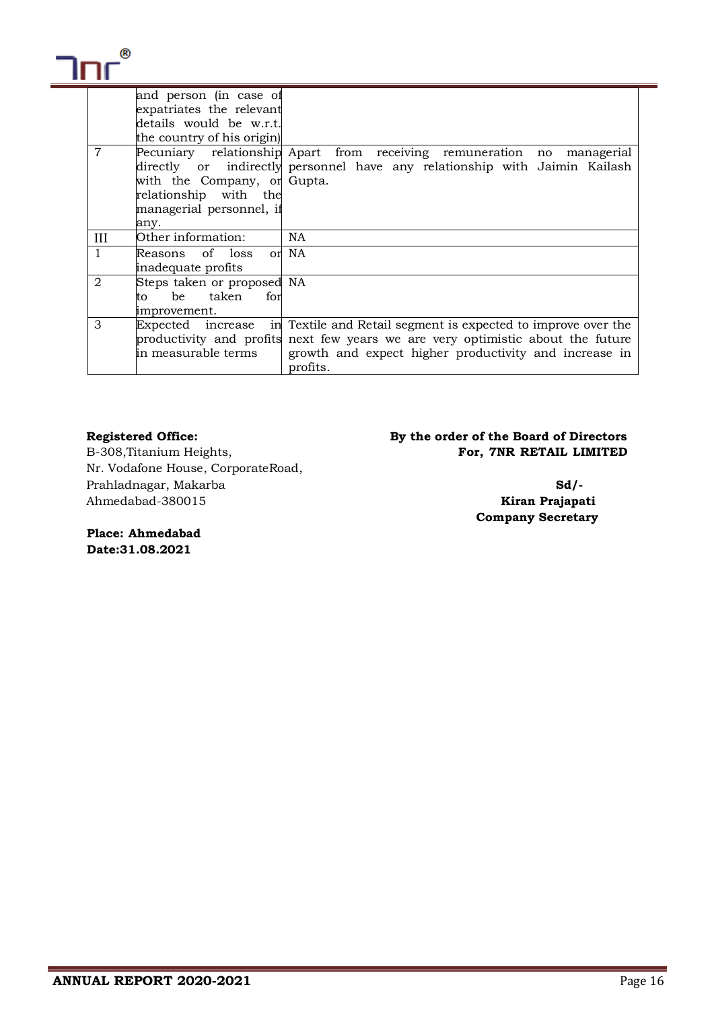|              | and person (in case of<br>expatriates the relevant |                                                                                 |
|--------------|----------------------------------------------------|---------------------------------------------------------------------------------|
|              | details would be w.r.t.                            |                                                                                 |
|              | the country of his origin)                         |                                                                                 |
|              |                                                    |                                                                                 |
| 7            |                                                    | Pecuniary relationship Apart from receiving remuneration no managerial          |
|              |                                                    | directly or indirectly personnel have any relationship with Jaimin Kailash      |
|              | with the Company, or Gupta.                        |                                                                                 |
|              | relationship with the                              |                                                                                 |
|              | managerial personnel, if                           |                                                                                 |
|              | any.                                               |                                                                                 |
| Ш            | Other information:                                 | <b>NA</b>                                                                       |
| $\mathbf{1}$ | Reasons of loss                                    | or NA                                                                           |
|              | inadequate profits                                 |                                                                                 |
| 2            | Steps taken or proposed NA                         |                                                                                 |
|              | be taken for<br>to to                              |                                                                                 |
|              | improvement.                                       |                                                                                 |
| 3            |                                                    | Expected increase in Textile and Retail segment is expected to improve over the |
|              |                                                    | productivity and profits next few years we are very optimistic about the future |
|              | in measurable terms                                | growth and expect higher productivity and increase in                           |
|              |                                                    | profits.                                                                        |

Nr. Vodafone House, CorporateRoad, Prahladnagar, Makarba **Sd/-** Ahmedabad-380015 **Kiran Prajapati**

**Registered Office: By the order of the Board of Directors**  B-308, Titanium Heights, **For, 7NR RETAIL LIMITED** 

**Company Secretary**

**Place: Ahmedabad Date:31.08.2021**